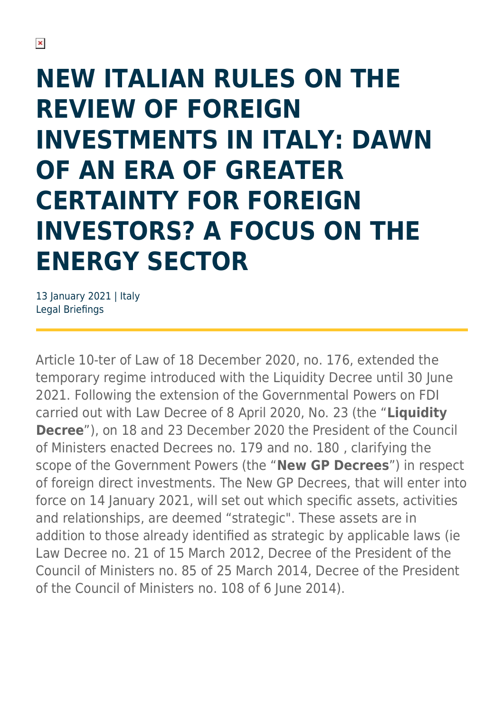## **NEW ITALIAN RULES ON THE REVIEW OF FOREIGN INVESTMENTS IN ITALY: DAWN OF AN ERA OF GREATER CERTAINTY FOR FOREIGN INVESTORS? A FOCUS ON THE ENERGY SECTOR**

13 January 2021 | Italy Legal Briefings

Article 10-ter of Law of 18 December 2020, no. 176, extended the temporary regime introduced with the Liquidity Decree until 30 June 2021. Following the extension of the Governmental Powers on FDI carried out with Law Decree of 8 April 2020, No. 23 (the "**Liquidity Decree**"), on 18 and 23 December 2020 the President of the Council of Ministers enacted Decrees no. 179 and no. 180 , clarifying the scope of the Government Powers (the "**New GP Decrees**") in respect of foreign direct investments. The New GP Decrees, that will enter into force on 14 January 2021, will set out which specific assets, activities and relationships, are deemed "strategic". These assets are in addition to those already identified as strategic by applicable laws (ie Law Decree no. 21 of 15 March 2012, Decree of the President of the Council of Ministers no. 85 of 25 March 2014, Decree of the President of the Council of Ministers no. 108 of 6 June 2014).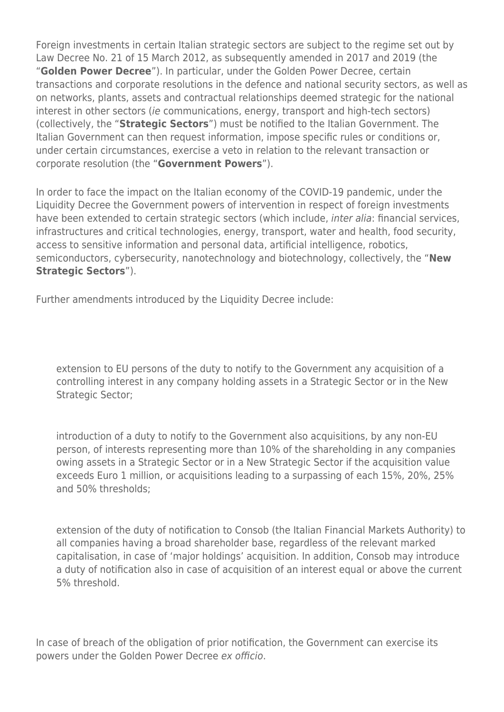Foreign investments in certain Italian strategic sectors are subject to the regime set out by Law Decree No. 21 of 15 March 2012, as subsequently amended in 2017 and 2019 (the "**Golden Power Decree**"). In particular, under the Golden Power Decree, certain transactions and corporate resolutions in the defence and national security sectors, as well as on networks, plants, assets and contractual relationships deemed strategic for the national interest in other sectors (ie communications, energy, transport and high-tech sectors) (collectively, the "**Strategic Sectors**") must be notified to the Italian Government. The Italian Government can then request information, impose specific rules or conditions or, under certain circumstances, exercise a veto in relation to the relevant transaction or corporate resolution (the "**Government Powers**").

In order to face the impact on the Italian economy of the COVID-19 pandemic, under the Liquidity Decree the Government powers of intervention in respect of foreign investments have been extended to certain strategic sectors (which include, inter alia: financial services, infrastructures and critical technologies, energy, transport, water and health, food security, access to sensitive information and personal data, artificial intelligence, robotics, semiconductors, cybersecurity, nanotechnology and biotechnology, collectively, the "**New Strategic Sectors**").

Further amendments introduced by the Liquidity Decree include:

extension to EU persons of the duty to notify to the Government any acquisition of a controlling interest in any company holding assets in a Strategic Sector or in the New Strategic Sector;

introduction of a duty to notify to the Government also acquisitions, by any non-EU person, of interests representing more than 10% of the shareholding in any companies owing assets in a Strategic Sector or in a New Strategic Sector if the acquisition value exceeds Euro 1 million, or acquisitions leading to a surpassing of each 15%, 20%, 25% and 50% thresholds;

extension of the duty of notification to Consob (the Italian Financial Markets Authority) to all companies having a broad shareholder base, regardless of the relevant marked capitalisation, in case of 'major holdings' acquisition. In addition, Consob may introduce a duty of notification also in case of acquisition of an interest equal or above the current 5% threshold.

In case of breach of the obligation of prior notification, the Government can exercise its powers under the Golden Power Decree ex officio.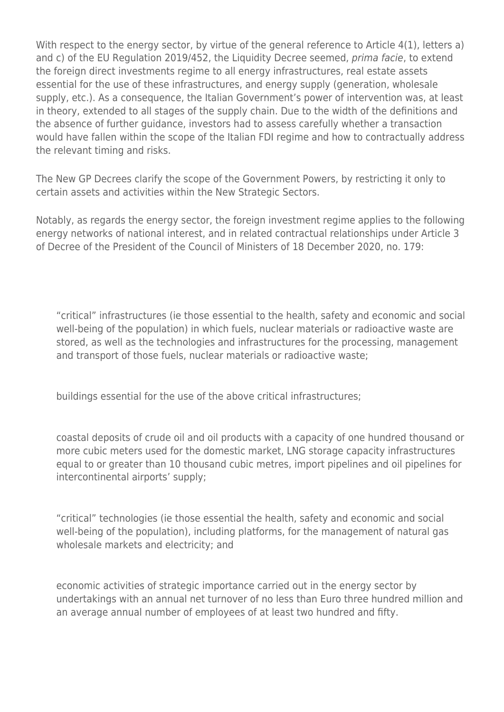With respect to the energy sector, by virtue of the general reference to Article 4(1), letters a) and c) of the EU Regulation 2019/452, the Liquidity Decree seemed, prima facie, to extend the foreign direct investments regime to all energy infrastructures, real estate assets essential for the use of these infrastructures, and energy supply (generation, wholesale supply, etc.). As a consequence, the Italian Government's power of intervention was, at least in theory, extended to all stages of the supply chain. Due to the width of the definitions and the absence of further guidance, investors had to assess carefully whether a transaction would have fallen within the scope of the Italian FDI regime and how to contractually address the relevant timing and risks.

The New GP Decrees clarify the scope of the Government Powers, by restricting it only to certain assets and activities within the New Strategic Sectors.

Notably, as regards the energy sector, the foreign investment regime applies to the following energy networks of national interest, and in related contractual relationships under Article 3 of Decree of the President of the Council of Ministers of 18 December 2020, no. 179:

"critical" infrastructures (ie those essential to the health, safety and economic and social well-being of the population) in which fuels, nuclear materials or radioactive waste are stored, as well as the technologies and infrastructures for the processing, management and transport of those fuels, nuclear materials or radioactive waste;

buildings essential for the use of the above critical infrastructures;

coastal deposits of crude oil and oil products with a capacity of one hundred thousand or more cubic meters used for the domestic market, LNG storage capacity infrastructures equal to or greater than 10 thousand cubic metres, import pipelines and oil pipelines for intercontinental airports' supply;

"critical" technologies (ie those essential the health, safety and economic and social well-being of the population), including platforms, for the management of natural gas wholesale markets and electricity; and

economic activities of strategic importance carried out in the energy sector by undertakings with an annual net turnover of no less than Euro three hundred million and an average annual number of employees of at least two hundred and fifty.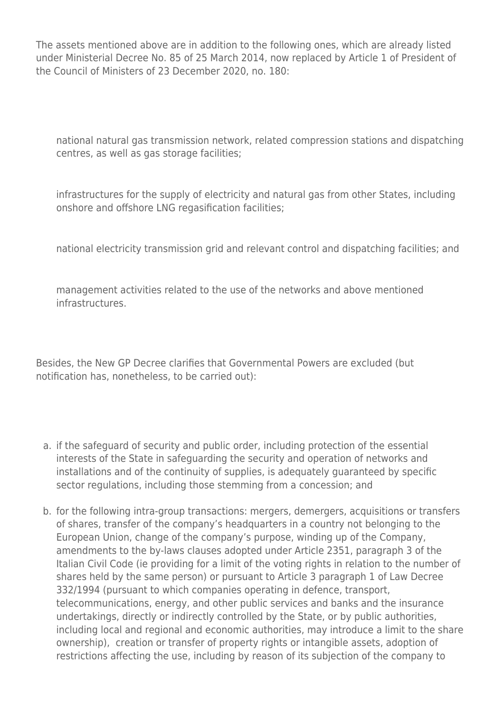The assets mentioned above are in addition to the following ones, which are already listed under Ministerial Decree No. 85 of 25 March 2014, now replaced by Article 1 of President of the Council of Ministers of 23 December 2020, no. 180:

national natural gas transmission network, related compression stations and dispatching centres, as well as gas storage facilities;

infrastructures for the supply of electricity and natural gas from other States, including onshore and offshore LNG regasification facilities;

national electricity transmission grid and relevant control and dispatching facilities; and

management activities related to the use of the networks and above mentioned infrastructures.

Besides, the New GP Decree clarifies that Governmental Powers are excluded (but notification has, nonetheless, to be carried out):

- a. if the safeguard of security and public order, including protection of the essential interests of the State in safeguarding the security and operation of networks and installations and of the continuity of supplies, is adequately guaranteed by specific sector regulations, including those stemming from a concession; and
- b. for the following intra-group transactions: mergers, demergers, acquisitions or transfers of shares, transfer of the company's headquarters in a country not belonging to the European Union, change of the company's purpose, winding up of the Company, amendments to the by-laws clauses adopted under Article 2351, paragraph 3 of the Italian Civil Code (ie providing for a limit of the voting rights in relation to the number of shares held by the same person) or pursuant to Article 3 paragraph 1 of Law Decree 332/1994 (pursuant to which companies operating in defence, transport, telecommunications, energy, and other public services and banks and the insurance undertakings, directly or indirectly controlled by the State, or by public authorities, including local and regional and economic authorities, may introduce a limit to the share ownership), creation or transfer of property rights or intangible assets, adoption of restrictions affecting the use, including by reason of its subjection of the company to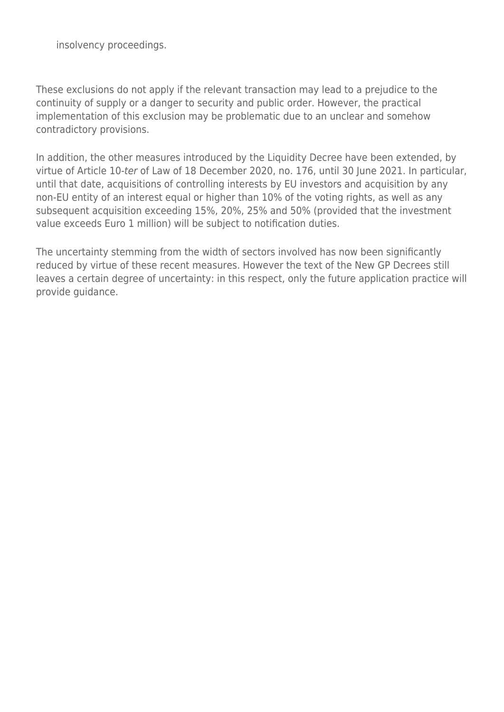insolvency proceedings.

These exclusions do not apply if the relevant transaction may lead to a prejudice to the continuity of supply or a danger to security and public order. However, the practical implementation of this exclusion may be problematic due to an unclear and somehow contradictory provisions.

In addition, the other measures introduced by the Liquidity Decree have been extended, by virtue of Article 10-ter of Law of 18 December 2020, no. 176, until 30 June 2021. In particular, until that date, acquisitions of controlling interests by EU investors and acquisition by any non-EU entity of an interest equal or higher than 10% of the voting rights, as well as any subsequent acquisition exceeding 15%, 20%, 25% and 50% (provided that the investment value exceeds Euro 1 million) will be subject to notification duties.

The uncertainty stemming from the width of sectors involved has now been significantly reduced by virtue of these recent measures. However the text of the New GP Decrees still leaves a certain degree of uncertainty: in this respect, only the future application practice will provide guidance.